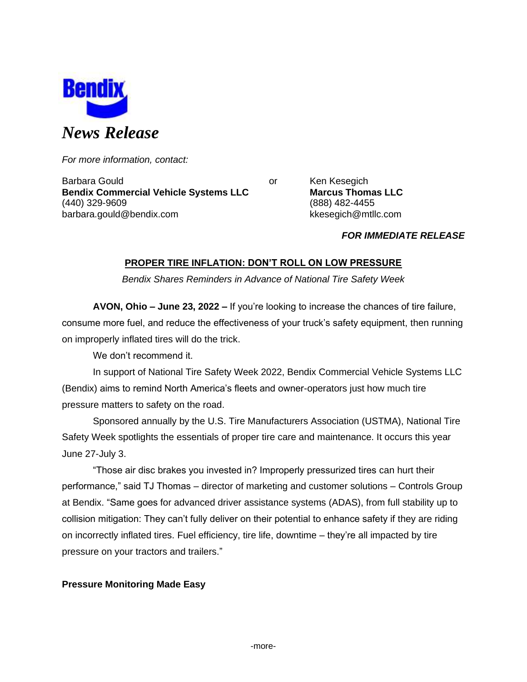

*For more information, contact:*

Barbara Gould **Communist Communist Communist Communist Communist Communist Communist Communist Communist Communist Communist Communist Communist Communist Communist Communist Communist Communist Communist Communist Communi Bendix Commercial Vehicle Systems LLC Marcus Thomas LLC** (440) 329-9609 (888) 482-4455 barbara.gould@bendix.com kkesegich@mtllc.com

## *FOR IMMEDIATE RELEASE*

# **PROPER TIRE INFLATION: DON'T ROLL ON LOW PRESSURE**

*Bendix Shares Reminders in Advance of National Tire Safety Week*

**AVON, Ohio – June 23, 2022 –** If you're looking to increase the chances of tire failure, consume more fuel, and reduce the effectiveness of your truck's safety equipment, then running on improperly inflated tires will do the trick.

We don't recommend it.

In support of National Tire Safety Week 2022, Bendix Commercial Vehicle Systems LLC (Bendix) aims to remind North America's fleets and owner-operators just how much tire pressure matters to safety on the road.

Sponsored annually by the U.S. Tire Manufacturers Association (USTMA), National Tire Safety Week spotlights the essentials of proper tire care and maintenance. It occurs this year June 27-July 3.

"Those air disc brakes you invested in? Improperly pressurized tires can hurt their performance," said TJ Thomas – director of marketing and customer solutions – Controls Group at Bendix. "Same goes for advanced driver assistance systems (ADAS), from full stability up to collision mitigation: They can't fully deliver on their potential to enhance safety if they are riding on incorrectly inflated tires. Fuel efficiency, tire life, downtime – they're all impacted by tire pressure on your tractors and trailers."

## **Pressure Monitoring Made Easy**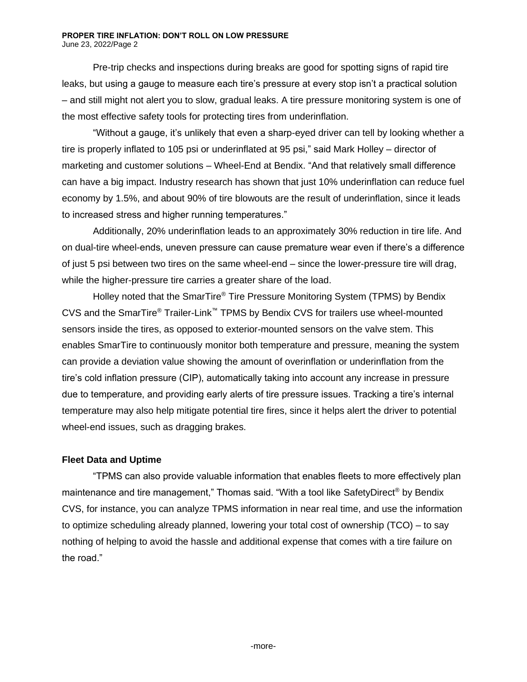Pre-trip checks and inspections during breaks are good for spotting signs of rapid tire leaks, but using a gauge to measure each tire's pressure at every stop isn't a practical solution – and still might not alert you to slow, gradual leaks. A tire pressure monitoring system is one of the most effective safety tools for protecting tires from underinflation.

"Without a gauge, it's unlikely that even a sharp-eyed driver can tell by looking whether a tire is properly inflated to 105 psi or underinflated at 95 psi," said Mark Holley – director of marketing and customer solutions – Wheel-End at Bendix. "And that relatively small difference can have a big impact. Industry research has shown that just 10% underinflation can reduce fuel economy by 1.5%, and about 90% of tire blowouts are the result of underinflation, since it leads to increased stress and higher running temperatures."

Additionally, 20% underinflation leads to an approximately 30% reduction in tire life. And on dual-tire wheel-ends, uneven pressure can cause premature wear even if there's a difference of just 5 psi between two tires on the same wheel-end – since the lower-pressure tire will drag, while the higher-pressure tire carries a greater share of the load.

Holley noted that the SmarTire® Tire Pressure Monitoring System (TPMS) by Bendix CVS and the SmarTire® Trailer-Link™ TPMS by Bendix CVS for trailers use wheel-mounted sensors inside the tires, as opposed to exterior-mounted sensors on the valve stem. This enables SmarTire to continuously monitor both temperature and pressure, meaning the system can provide a deviation value showing the amount of overinflation or underinflation from the tire's cold inflation pressure (CIP), automatically taking into account any increase in pressure due to temperature, and providing early alerts of tire pressure issues. Tracking a tire's internal temperature may also help mitigate potential tire fires, since it helps alert the driver to potential wheel-end issues, such as dragging brakes.

## **Fleet Data and Uptime**

"TPMS can also provide valuable information that enables fleets to more effectively plan maintenance and tire management," Thomas said. "With a tool like SafetyDirect® by Bendix CVS, for instance, you can analyze TPMS information in near real time, and use the information to optimize scheduling already planned, lowering your total cost of ownership (TCO) – to say nothing of helping to avoid the hassle and additional expense that comes with a tire failure on the road."